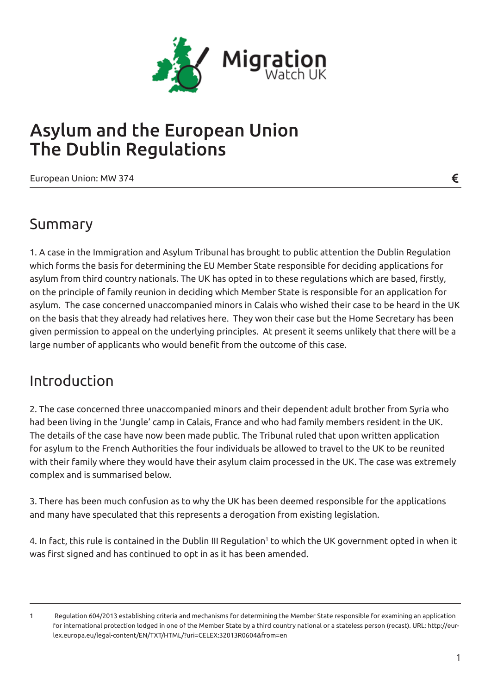

# Asylum and the European Union The Dublin Regulations

European Union: MW 374

### Summary

1. A case in the Immigration and Asylum Tribunal has brought to public attention the Dublin Regulation which forms the basis for determining the EU Member State responsible for deciding applications for asylum from third country nationals. The UK has opted in to these regulations which are based, firstly, on the principle of family reunion in deciding which Member State is responsible for an application for asylum. The case concerned unaccompanied minors in Calais who wished their case to be heard in the UK on the basis that they already had relatives here. They won their case but the Home Secretary has been given permission to appeal on the underlying principles. At present it seems unlikely that there will be a large number of applicants who would benefit from the outcome of this case.

### Introduction

2. The case concerned three unaccompanied minors and their dependent adult brother from Syria who had been living in the 'Jungle' camp in Calais, France and who had family members resident in the UK. The details of the case have now been made public. The Tribunal ruled that upon written application for asylum to the French Authorities the four individuals be allowed to travel to the UK to be reunited with their family where they would have their asylum claim processed in the UK. The case was extremely complex and is summarised below.

3. There has been much confusion as to why the UK has been deemed responsible for the applications and many have speculated that this represents a derogation from existing legislation.

4. In fact, this rule is contained in the Dublin III Regulation<sup>1</sup> to which the UK government opted in when it was first signed and has continued to opt in as it has been amended.

€

<sup>1</sup> Regulation 604/2013 establishing criteria and mechanisms for determining the Member State responsible for examining an application for international protection lodged in one of the Member State by a third country national or a stateless person (recast). URL: http://eurlex.europa.eu/legal-content/EN/TXT/HTML/?uri=CELEX:32013R0604&from=en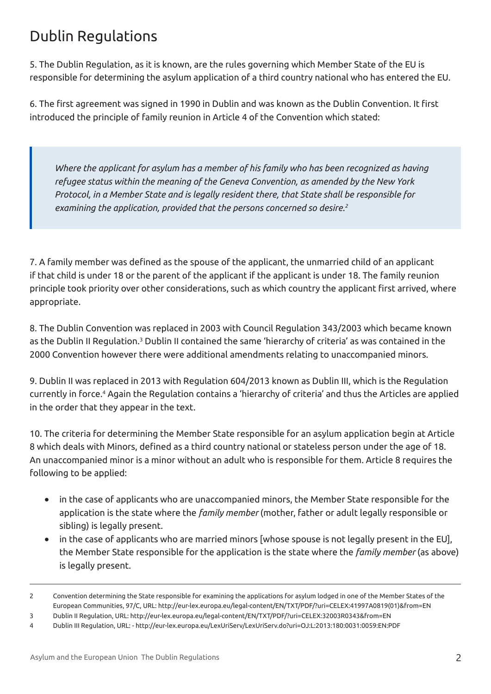## Dublin Regulations

5. The Dublin Regulation, as it is known, are the rules governing which Member State of the EU is responsible for determining the asylum application of a third country national who has entered the EU.

6. The first agreement was signed in 1990 in Dublin and was known as the Dublin Convention. It first introduced the principle of family reunion in Article 4 of the Convention which stated:

*Where the applicant for asylum has a member of his family who has been recognized as having refugee status within the meaning of the Geneva Convention, as amended by the New York Protocol, in a Member State and is legally resident there, that State shall be responsible for examining the application, provided that the persons concerned so desire.2*

7. A family member was defined as the spouse of the applicant, the unmarried child of an applicant if that child is under 18 or the parent of the applicant if the applicant is under 18. The family reunion principle took priority over other considerations, such as which country the applicant first arrived, where appropriate.

8. The Dublin Convention was replaced in 2003 with Council Regulation 343/2003 which became known as the Dublin II Regulation.<sup>3</sup> Dublin II contained the same 'hierarchy of criteria' as was contained in the 2000 Convention however there were additional amendments relating to unaccompanied minors.

9. Dublin II was replaced in 2013 with Regulation 604/2013 known as Dublin III, which is the Regulation currently in force.4 Again the Regulation contains a 'hierarchy of criteria' and thus the Articles are applied in the order that they appear in the text.

10. The criteria for determining the Member State responsible for an asylum application begin at Article 8 which deals with Minors, defined as a third country national or stateless person under the age of 18. An unaccompanied minor is a minor without an adult who is responsible for them. Article 8 requires the following to be applied:

- in the case of applicants who are unaccompanied minors, the Member State responsible for the application is the state where the *family member* (mother, father or adult legally responsible or sibling) is legally present.
- in the case of applicants who are married minors [whose spouse is not legally present in the EU], the Member State responsible for the application is the state where the *family member* (as above) is legally present.

<sup>2</sup> Convention determining the State responsible for examining the applications for asylum lodged in one of the Member States of the European Communities, 97/C, URL: http://eur-lex.europa.eu/legal-content/EN/TXT/PDF/?uri=CELEX:41997A0819(01)&from=EN

<sup>3</sup> Dublin II Regulation, URL: http://eur-lex.europa.eu/legal-content/EN/TXT/PDF/?uri=CELEX:32003R0343&from=EN

<sup>4</sup> Dublin III Regulation, URL: - http://eur-lex.europa.eu/LexUriServ/LexUriServ.do?uri=OJ:L:2013:180:0031:0059:EN:PDF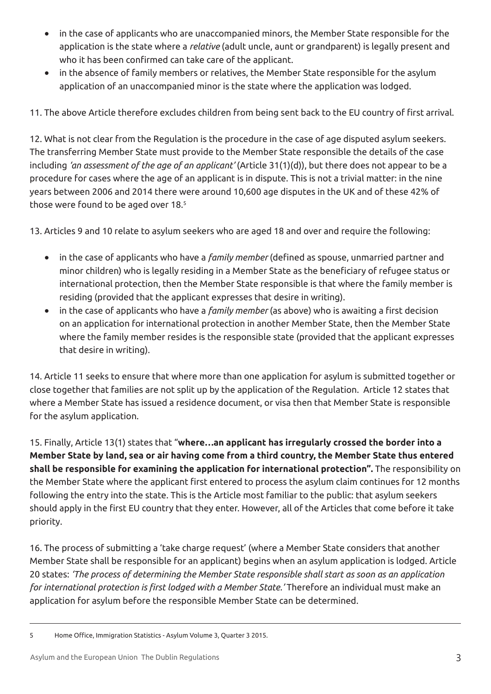- in the case of applicants who are unaccompanied minors, the Member State responsible for the application is the state where a *relative* (adult uncle, aunt or grandparent) is legally present and who it has been confirmed can take care of the applicant.
- in the absence of family members or relatives, the Member State responsible for the asylum application of an unaccompanied minor is the state where the application was lodged.

11. The above Article therefore excludes children from being sent back to the EU country of first arrival.

12. What is not clear from the Regulation is the procedure in the case of age disputed asylum seekers. The transferring Member State must provide to the Member State responsible the details of the case including *'an assessment of the age of an applicant'* (Article 31(1)(d)), but there does not appear to be a procedure for cases where the age of an applicant is in dispute. This is not a trivial matter: in the nine years between 2006 and 2014 there were around 10,600 age disputes in the UK and of these 42% of those were found to be aged over 18.<sup>5</sup>

13. Articles 9 and 10 relate to asylum seekers who are aged 18 and over and require the following:

- in the case of applicants who have a *family member* (defined as spouse, unmarried partner and minor children) who is legally residing in a Member State as the beneficiary of refugee status or international protection, then the Member State responsible is that where the family member is residing (provided that the applicant expresses that desire in writing).
- • in the case of applicants who have a *family member* (as above) who is awaiting a first decision on an application for international protection in another Member State, then the Member State where the family member resides is the responsible state (provided that the applicant expresses that desire in writing).

14. Article 11 seeks to ensure that where more than one application for asylum is submitted together or close together that families are not split up by the application of the Regulation. Article 12 states that where a Member State has issued a residence document, or visa then that Member State is responsible for the asylum application.

15. Finally, Article 13(1) states that "**where…an applicant has irregularly crossed the border into a Member State by land, sea or air having come from a third country, the Member State thus entered shall be responsible for examining the application for international protection".** The responsibility on the Member State where the applicant first entered to process the asylum claim continues for 12 months following the entry into the state. This is the Article most familiar to the public: that asylum seekers should apply in the first EU country that they enter. However, all of the Articles that come before it take priority.

16. The process of submitting a 'take charge request' (where a Member State considers that another Member State shall be responsible for an applicant) begins when an asylum application is lodged. Article 20 states: *'The process of determining the Member State responsible shall start as soon as an application for international protection is first lodged with a Member State.'* Therefore an individual must make an application for asylum before the responsible Member State can be determined.

5 Home Office, Immigration Statistics - Asylum Volume 3, Quarter 3 2015.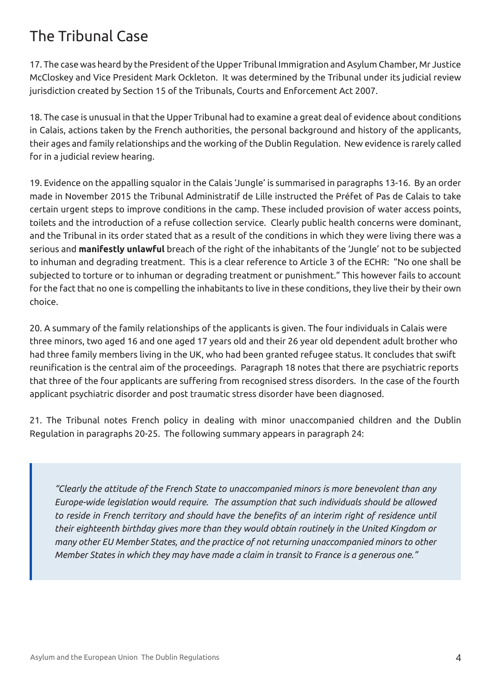### The Tribunal Case

17. The case was heard by the President of the Upper Tribunal Immigration and Asylum Chamber, Mr Justice McCloskey and Vice President Mark Ockleton. It was determined by the Tribunal under its judicial review jurisdiction created by Section 15 of the Tribunals, Courts and Enforcement Act 2007.

18. The case is unusual in that the Upper Tribunal had to examine a great deal of evidence about conditions in Calais, actions taken by the French authorities, the personal background and history of the applicants, their ages and family relationships and the working of the Dublin Regulation. New evidence is rarely called for in a judicial review hearing.

19. Evidence on the appalling squalor in the Calais 'Jungle' is summarised in paragraphs 13-16. By an order made in November 2015 the Tribunal Administratif de Lille instructed the Préfet of Pas de Calais to take certain urgent steps to improve conditions in the camp. These included provision of water access points, toilets and the introduction of a refuse collection service. Clearly public health concerns were dominant, and the Tribunal in its order stated that as a result of the conditions in which they were living there was a serious and **manifestly unlawful** breach of the right of the inhabitants of the 'Jungle' not to be subjected to inhuman and degrading treatment. This is a clear reference to Article 3 of the ECHR: "No one shall be subjected to torture or to inhuman or degrading treatment or punishment." This however fails to account for the fact that no one is compelling the inhabitants to live in these conditions, they live their by their own choice.

20. A summary of the family relationships of the applicants is given. The four individuals in Calais were three minors, two aged 16 and one aged 17 years old and their 26 year old dependent adult brother who had three family members living in the UK, who had been granted refugee status. It concludes that swift reunification is the central aim of the proceedings. Paragraph 18 notes that there are psychiatric reports that three of the four applicants are suffering from recognised stress disorders. In the case of the fourth applicant psychiatric disorder and post traumatic stress disorder have been diagnosed.

21. The Tribunal notes French policy in dealing with minor unaccompanied children and the Dublin Regulation in paragraphs 20-25. The following summary appears in paragraph 24:

*"Clearly the attitude of the French State to unaccompanied minors is more benevolent than any Europe-wide legislation would require. The assumption that such individuals should be allowed to reside in French territory and should have the benefits of an interim right of residence until their eighteenth birthday gives more than they would obtain routinely in the United Kingdom or many other EU Member States, and the practice of not returning unaccompanied minors to other Member States in which they may have made a claim in transit to France is a generous one."*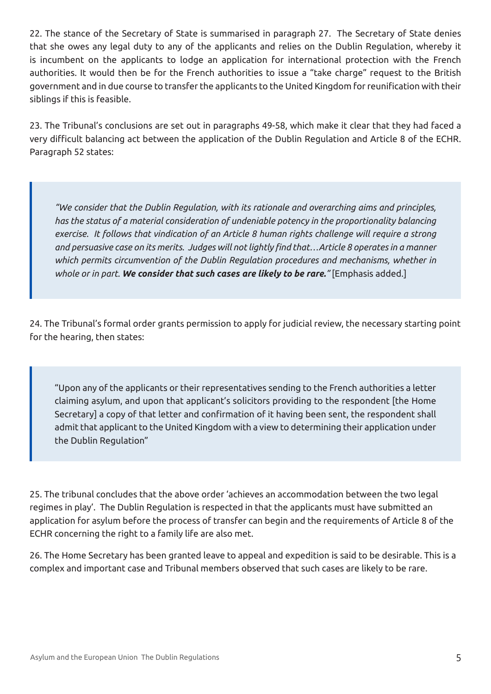22. The stance of the Secretary of State is summarised in paragraph 27. The Secretary of State denies that she owes any legal duty to any of the applicants and relies on the Dublin Regulation, whereby it is incumbent on the applicants to lodge an application for international protection with the French authorities. It would then be for the French authorities to issue a "take charge" request to the British government and in due course to transfer the applicants to the United Kingdom for reunification with their siblings if this is feasible.

23. The Tribunal's conclusions are set out in paragraphs 49-58, which make it clear that they had faced a very difficult balancing act between the application of the Dublin Regulation and Article 8 of the ECHR. Paragraph 52 states:

*"We consider that the Dublin Regulation, with its rationale and overarching aims and principles, has the status of a material consideration of undeniable potency in the proportionality balancing exercise. It follows that vindication of an Article 8 human rights challenge will require a strong and persuasive case on its merits. Judges will not lightly find that…Article 8 operates in a manner which permits circumvention of the Dublin Regulation procedures and mechanisms, whether in whole or in part. We consider that such cases are likely to be rare."* [Emphasis added.]

24. The Tribunal's formal order grants permission to apply for judicial review, the necessary starting point for the hearing, then states:

"Upon any of the applicants or their representatives sending to the French authorities a letter claiming asylum, and upon that applicant's solicitors providing to the respondent [the Home Secretary] a copy of that letter and confirmation of it having been sent, the respondent shall admit that applicant to the United Kingdom with a view to determining their application under the Dublin Regulation"

25. The tribunal concludes that the above order 'achieves an accommodation between the two legal regimes in play'. The Dublin Regulation is respected in that the applicants must have submitted an application for asylum before the process of transfer can begin and the requirements of Article 8 of the ECHR concerning the right to a family life are also met.

26. The Home Secretary has been granted leave to appeal and expedition is said to be desirable. This is a complex and important case and Tribunal members observed that such cases are likely to be rare.